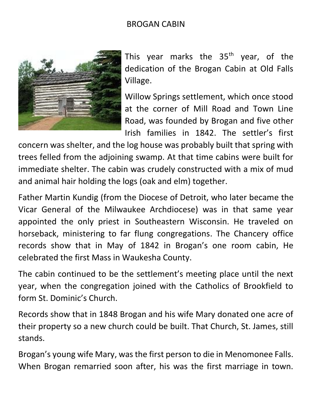## BROGAN CABIN



This year marks the  $35<sup>th</sup>$  year, of the dedication of the Brogan Cabin at Old Falls Village.

Willow Springs settlement, which once stood at the corner of Mill Road and Town Line Road, was founded by Brogan and five other Irish families in 1842. The settler's first

concern was shelter, and the log house was probably built that spring with trees felled from the adjoining swamp. At that time cabins were built for immediate shelter. The cabin was crudely constructed with a mix of mud and animal hair holding the logs (oak and elm) together.

Father Martin Kundig (from the Diocese of Detroit, who later became the Vicar General of the Milwaukee Archdiocese) was in that same year appointed the only priest in Southeastern Wisconsin. He traveled on horseback, ministering to far flung congregations. The Chancery office records show that in May of 1842 in Brogan's one room cabin, He celebrated the first Mass in Waukesha County.

The cabin continued to be the settlement's meeting place until the next year, when the congregation joined with the Catholics of Brookfield to form St. Dominic's Church.

Records show that in 1848 Brogan and his wife Mary donated one acre of their property so a new church could be built. That Church, St. James, still stands.

Brogan's young wife Mary, was the first person to die in Menomonee Falls. When Brogan remarried soon after, his was the first marriage in town.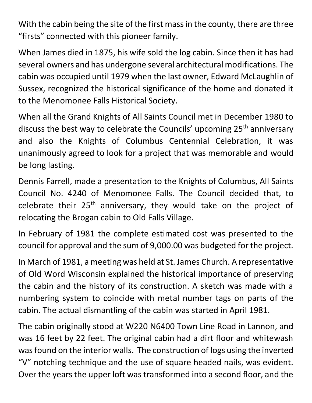With the cabin being the site of the first mass in the county, there are three "firsts" connected with this pioneer family.

When James died in 1875, his wife sold the log cabin. Since then it has had several owners and has undergone several architectural modifications. The cabin was occupied until 1979 when the last owner, Edward McLaughlin of Sussex, recognized the historical significance of the home and donated it to the Menomonee Falls Historical Society.

When all the Grand Knights of All Saints Council met in December 1980 to discuss the best way to celebrate the Councils' upcoming 25<sup>th</sup> anniversary and also the Knights of Columbus Centennial Celebration, it was unanimously agreed to look for a project that was memorable and would be long lasting.

Dennis Farrell, made a presentation to the Knights of Columbus, All Saints Council No. 4240 of Menomonee Falls. The Council decided that, to celebrate their  $25<sup>th</sup>$  anniversary, they would take on the project of relocating the Brogan cabin to Old Falls Village.

In February of 1981 the complete estimated cost was presented to the council for approval and the sum of 9,000.00 was budgeted for the project.

In March of 1981, a meeting was held at St. James Church. A representative of Old Word Wisconsin explained the historical importance of preserving the cabin and the history of its construction. A sketch was made with a numbering system to coincide with metal number tags on parts of the cabin. The actual dismantling of the cabin was started in April 1981.

The cabin originally stood at W220 N6400 Town Line Road in Lannon, and was 16 feet by 22 feet. The original cabin had a dirt floor and whitewash was found on the interior walls. The construction of logs using the inverted "V" notching technique and the use of square headed nails, was evident. Over the years the upper loft was transformed into a second floor, and the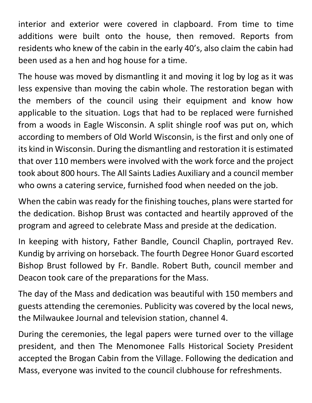interior and exterior were covered in clapboard. From time to time additions were built onto the house, then removed. Reports from residents who knew of the cabin in the early 40's, also claim the cabin had been used as a hen and hog house for a time.

The house was moved by dismantling it and moving it log by log as it was less expensive than moving the cabin whole. The restoration began with the members of the council using their equipment and know how applicable to the situation. Logs that had to be replaced were furnished from a woods in Eagle Wisconsin. A split shingle roof was put on, which according to members of Old World Wisconsin, is the first and only one of its kind in Wisconsin. During the dismantling and restoration it is estimated that over 110 members were involved with the work force and the project took about 800 hours. The All Saints Ladies Auxiliary and a council member who owns a catering service, furnished food when needed on the job.

When the cabin was ready for the finishing touches, plans were started for the dedication. Bishop Brust was contacted and heartily approved of the program and agreed to celebrate Mass and preside at the dedication.

In keeping with history, Father Bandle, Council Chaplin, portrayed Rev. Kundig by arriving on horseback. The fourth Degree Honor Guard escorted Bishop Brust followed by Fr. Bandle. Robert Buth, council member and Deacon took care of the preparations for the Mass.

The day of the Mass and dedication was beautiful with 150 members and guests attending the ceremonies. Publicity was covered by the local news, the Milwaukee Journal and television station, channel 4.

During the ceremonies, the legal papers were turned over to the village president, and then The Menomonee Falls Historical Society President accepted the Brogan Cabin from the Village. Following the dedication and Mass, everyone was invited to the council clubhouse for refreshments.